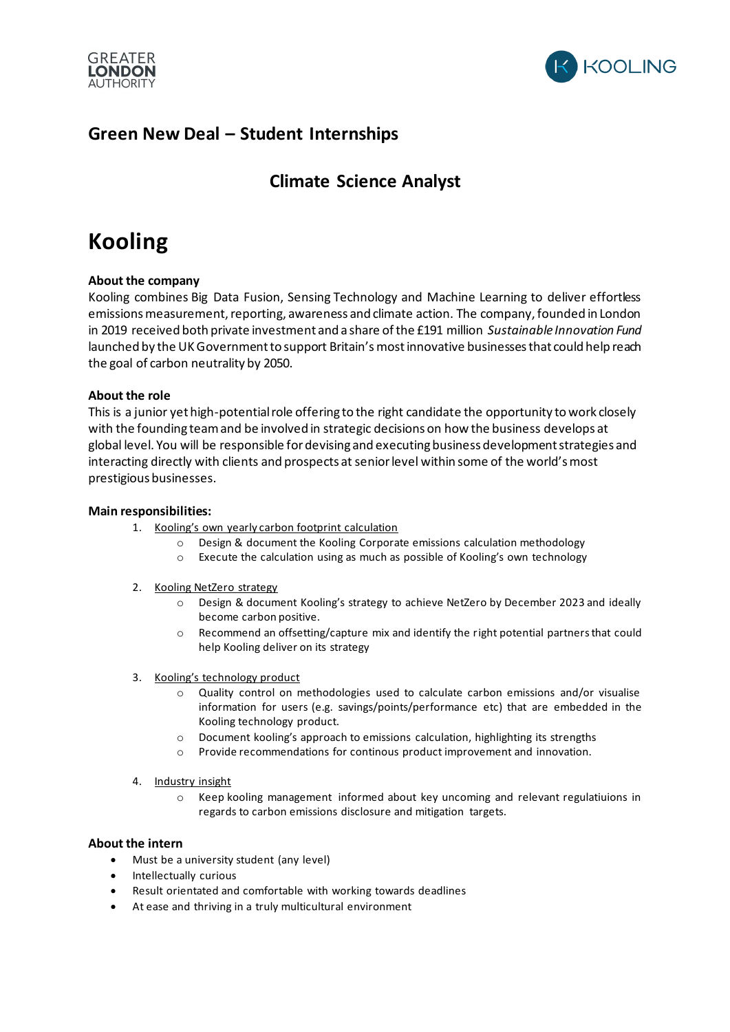



## **Green New Deal – Student Internships**

## **Climate Science Analyst**

# **Kooling**

#### **About the company**

Kooling combines Big Data Fusion, Sensing Technology and Machine Learning to deliver effortless emissions measurement, reporting, awareness and climate action. The company, founded in London in 2019 received both private investment and a share of the £191 million *Sustainable Innovation Fund* launched by the UK Government to support Britain's most innovative businesses that could help reach the goal of carbon neutrality by 2050.

#### **About the role**

This is a junior yet high-potential role offering to the right candidate the opportunity to work closely with the founding team and be involved in strategic decisions on how the business develops at global level. You will be responsible for devising and executing business development strategies and interacting directly with clients and prospects at senior level within some of the world's most prestigious businesses.

#### **Main responsibilities:**

- 1. Kooling's own yearly carbon footprint calculation
	- o Design & document the Kooling Corporate emissions calculation methodology
	- o Execute the calculation using as much as possible of Kooling's own technology
- 2. Kooling NetZero strategy
	- o Design & document Kooling's strategy to achieve NetZero by December 2023 and ideally become carbon positive.
	- o Recommend an offsetting/capture mix and identify the right potential partners that could help Kooling deliver on its strategy
- 3. Kooling's technology product
	- o Quality control on methodologies used to calculate carbon emissions and/or visualise information for users (e.g. savings/points/performance etc) that are embedded in the Kooling technology product.
	- o Document kooling's approach to emissions calculation, highlighting its strengths
	- o Provide recommendations for continous product improvement and innovation.
- 4. Industry insight
	- o Keep kooling management informed about key uncoming and relevant regulatiuions in regards to carbon emissions disclosure and mitigation targets.

#### **About the intern**

- Must be a university student (any level)
- Intellectually curious
- Result orientated and comfortable with working towards deadlines
- At ease and thriving in a truly multicultural environment